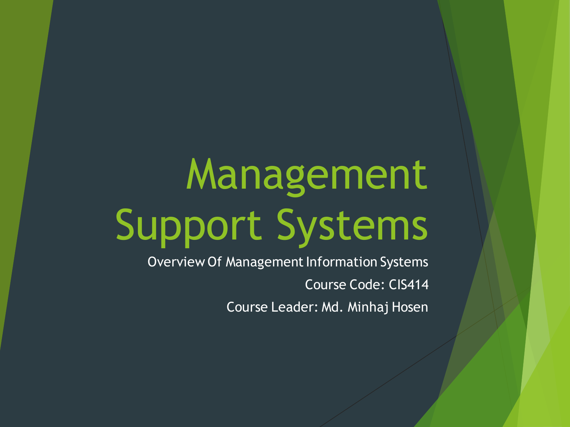# Management Support Systems

Overview Of Management Information Systems Course Code: CIS414 Course Leader: Md. Minhaj Hosen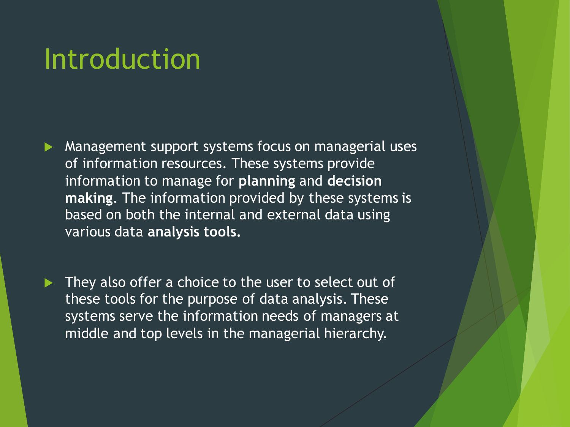### Introduction

 Management support systems focus on managerial uses of information resources. These systems provide information to manage for **planning** and **decision making**. The information provided by these systems is based on both the internal and external data using various data **analysis tools.** 

 They also offer a choice to the user to select out of these tools for the purpose of data analysis. These systems serve the information needs of managers at middle and top levels in the managerial hierarchy.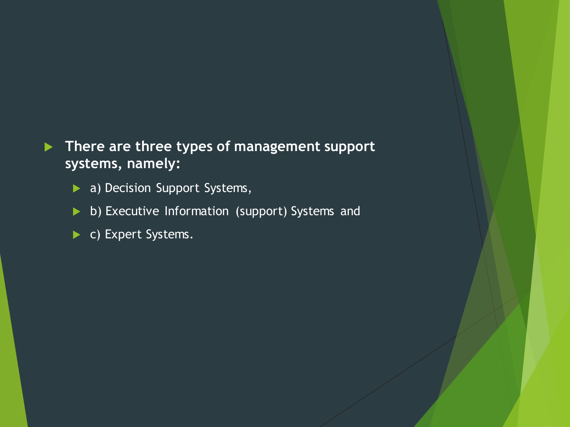#### **There are three types of management support systems, namely:**

- a) Decision Support Systems,
- b) Executive Information (support) Systems and
- c) Expert Systems.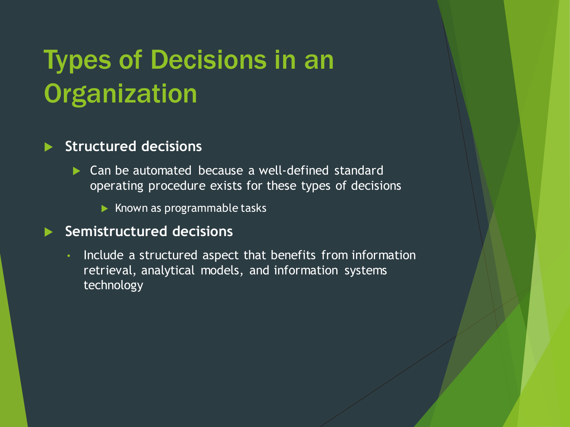# Types of Decisions in an **Organization**

#### **Structured decisions**

- Can be automated because a well-defined standard operating procedure exists for these types of decisions
	- $\blacktriangleright$  Known as programmable tasks

#### **Semistructured decisions**

• Include a structured aspect that benefits from information retrieval, analytical models, and information systems technology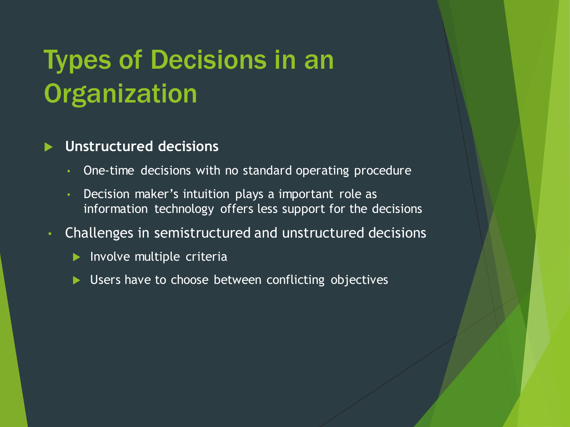# Types of Decisions in an **Organization**

#### **Unstructured decisions**

- One-time decisions with no standard operating procedure
- Decision maker's intuition plays a important role as information technology offers less support for the decisions
- Challenges in semistructured and unstructured decisions
	- $\blacktriangleright$  Involve multiple criteria
	- **Disers have to choose between conflicting objectives**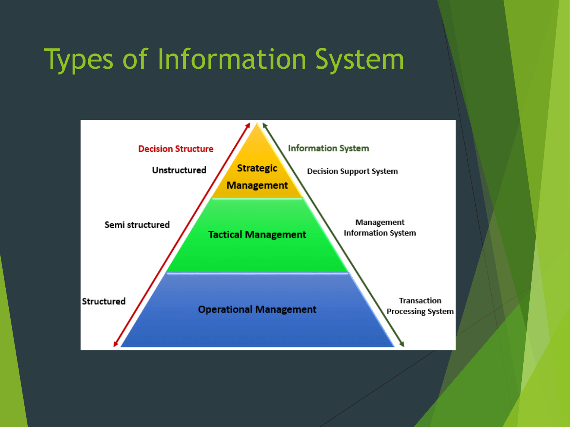# Types of Information System

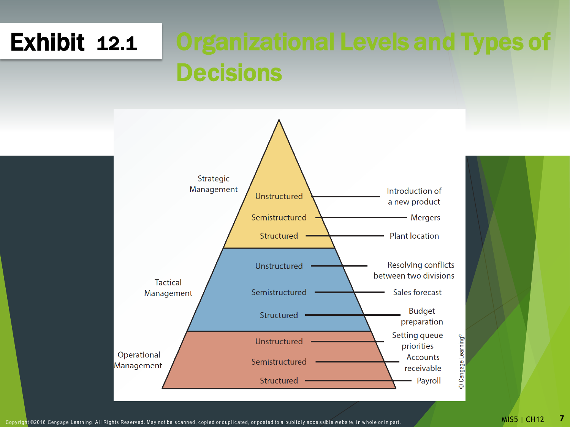# Exhibit12.1 Organizational Levels and Types of **Decisions**



Copyright ©2016 Cengage Learning. All Rights Reserved. May not be scanned, copied or duplicated, or posted to a publicly accessible website, in whole or in part. MISS NOVEMBLE MISS NOVEMBLE MANUSE OF THE SAN ONE OR I ALL A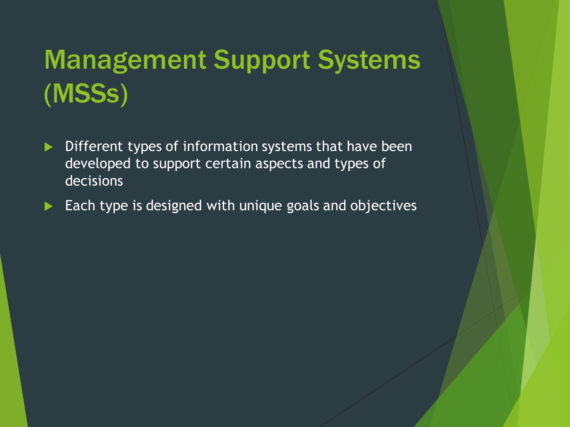# Management Support Systems (MSSs)

- Different types of information systems that have been developed to support certain aspects and types of decisions
- $\blacktriangleright$  Each type is designed with unique goals and objectives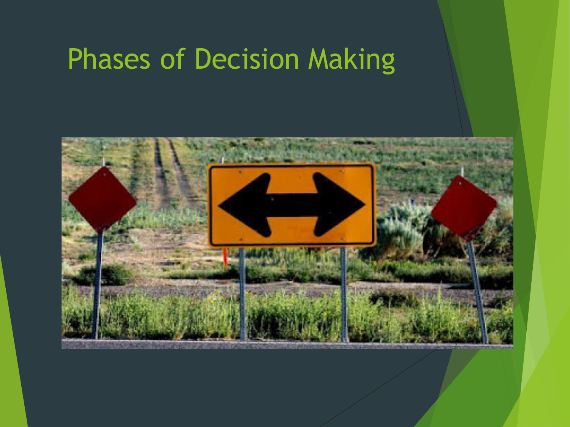# Phases of Decision Making

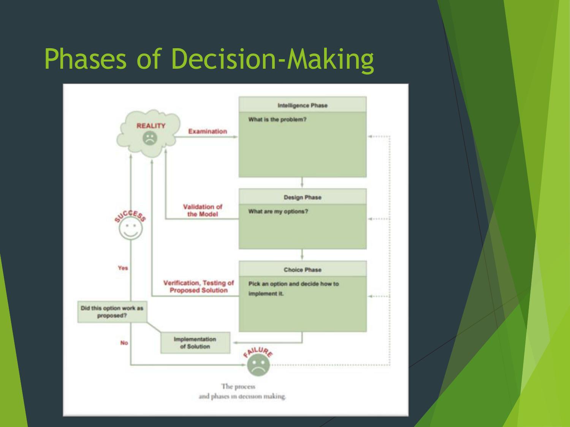# Phases of Decision-Making

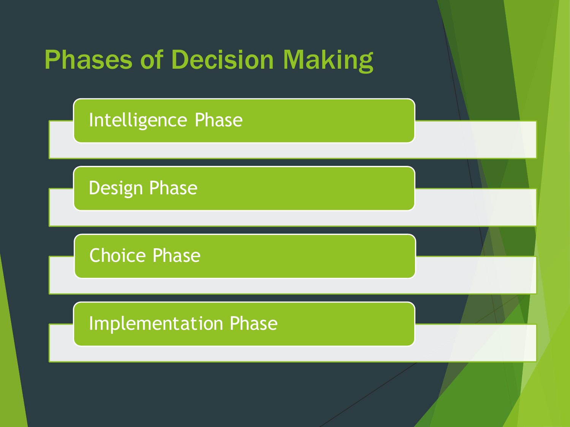

Intelligence Phase

Design Phase

Choice Phase

Implementation Phase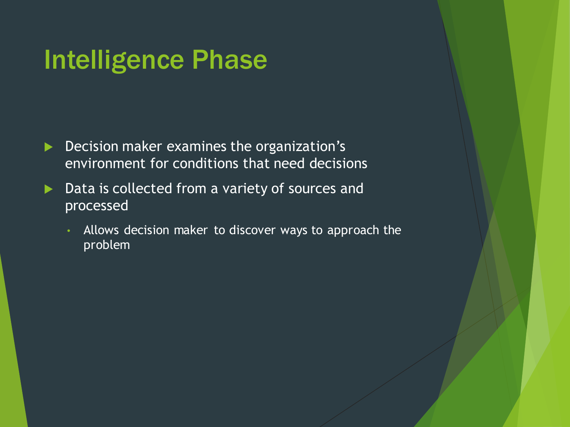### Intelligence Phase

- Decision maker examines the organization's environment for conditions that need decisions
- ▶ Data is collected from a variety of sources and processed
	- Allows decision maker to discover ways to approach the problem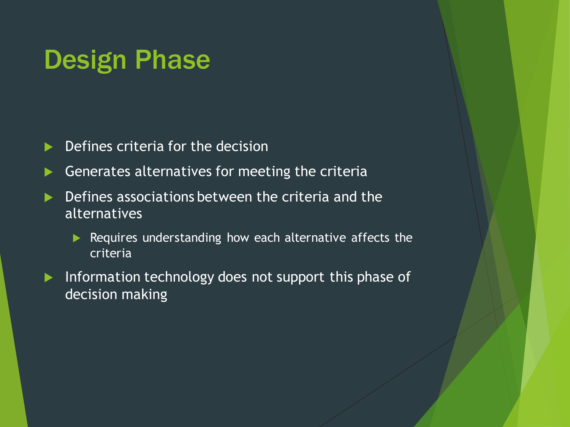### Design Phase

Defines criteria for the decision

Generates alternatives for meeting the criteria

**Defines associations between the criteria and the** alternatives

Requires understanding how each alternative affects the criteria

Information technology does not support this phase of decision making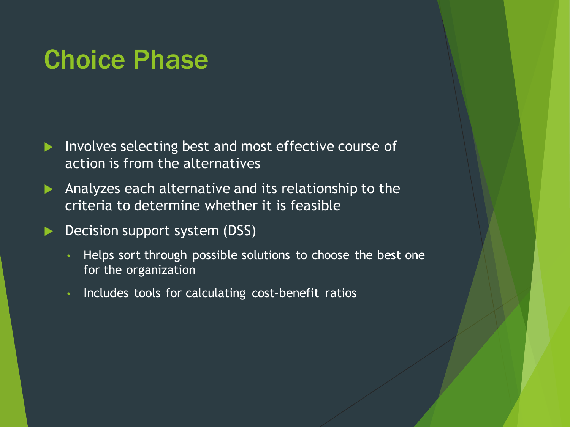### Choice Phase

- Involves selecting best and most effective course of action is from the alternatives
- Analyzes each alternative and its relationship to the criteria to determine whether it is feasible
- **Decision support system (DSS)** 
	- Helps sort through possible solutions to choose the best one for the organization
	- Includes tools for calculating cost-benefit ratios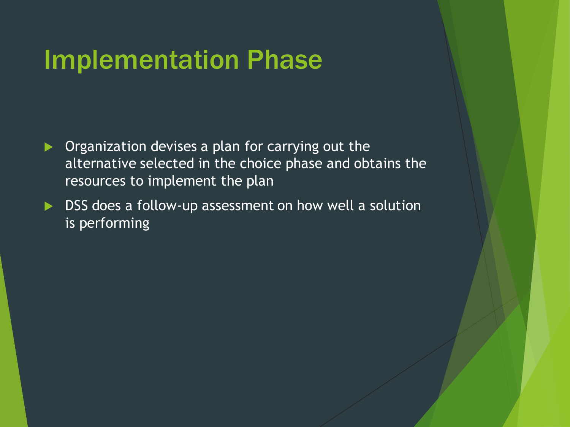### Implementation Phase

- **Organization devises a plan for carrying out the** alternative selected in the choice phase and obtains the resources to implement the plan
- ▶ DSS does a follow-up assessment on how well a solution is performing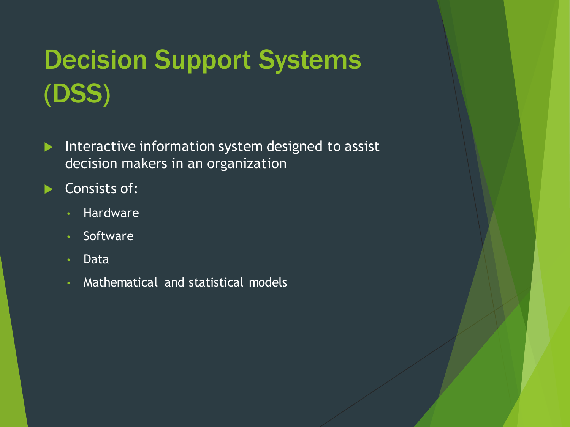# Decision Support Systems (DSS)

- Interactive information system designed to assist decision makers in an organization
- Consists of:
	- Hardware
	- Software
	- Data
	- Mathematical and statistical models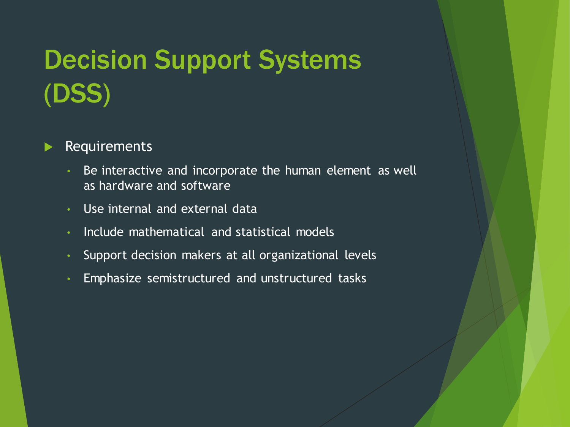# Decision Support Systems (DSS)

#### Requirements

- Be interactive and incorporate the human element as well as hardware and software
- Use internal and external data
- Include mathematical and statistical models
- Support decision makers at all organizational levels
- Emphasize semistructured and unstructured tasks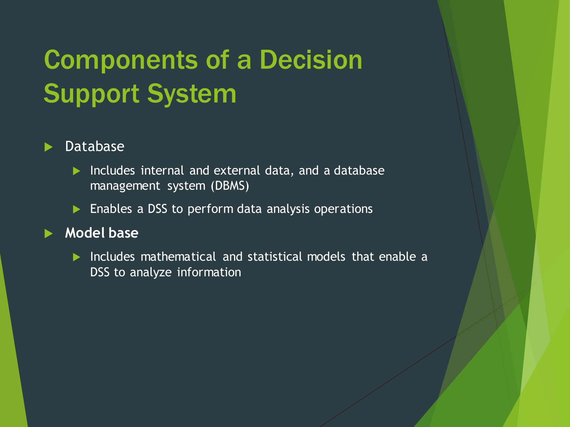# Components of a Decision Support System

#### Database

- **Includes internal and external data, and a database** management system (DBMS)
- $\blacktriangleright$  Enables a DSS to perform data analysis operations

#### **Model base**

**Includes mathematical and statistical models that enable a** DSS to analyze information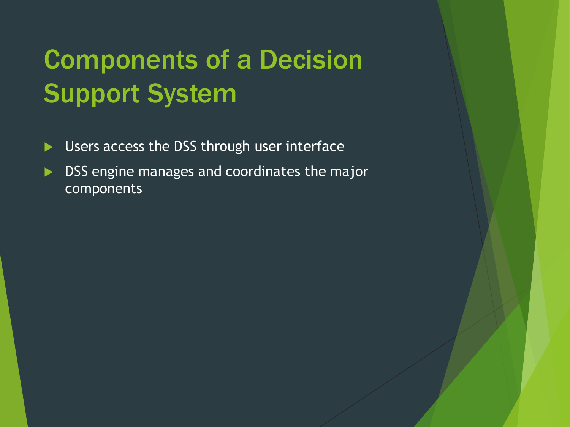# Components of a Decision Support System

- **Users access the DSS through user interface**
- **DISS** engine manages and coordinates the major components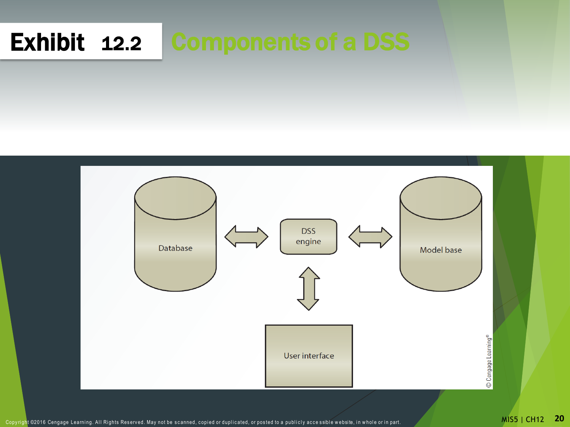### Exhibit12.2 Components of a DSS



Copyright ©2016 Cengage Learning. All Rights Reserved. May not be scanned, copied or duplicated, or posted to a publicly accessible website, in whole or in part. MISS NOMES NUSS | CH12 20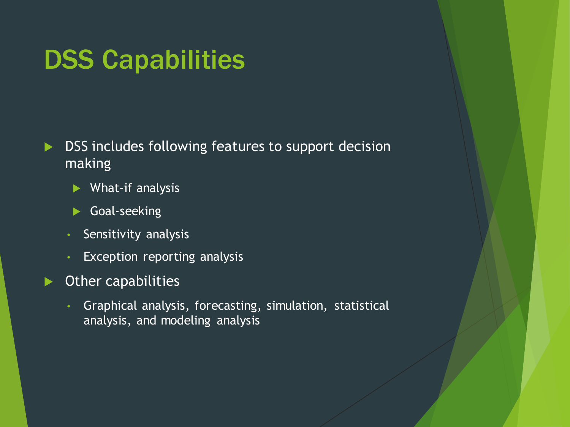### DSS Capabilities

**DISS** includes following features to support decision making

- What-if analysis
- Goal-seeking
- Sensitivity analysis
- Exception reporting analysis
- Other capabilities
	- Graphical analysis, forecasting, simulation, statistical analysis, and modeling analysis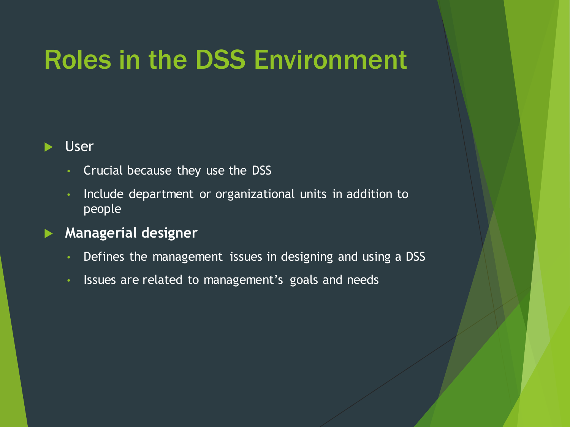# Roles in the DSS Environment

#### User

- Crucial because they use the DSS
- Include department or organizational units in addition to people

#### **Managerial designer**

- Defines the management issues in designing and using a DSS
- Issues are related to management's goals and needs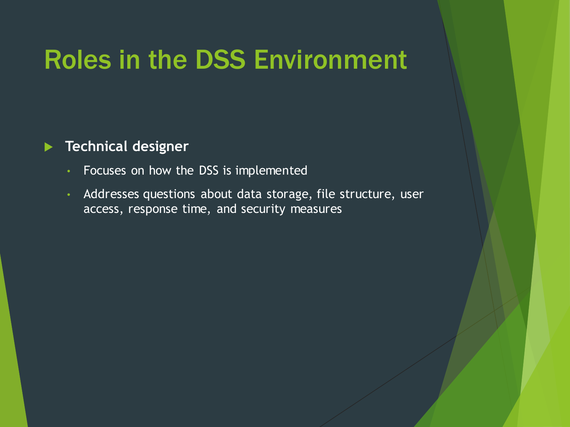### Roles in the DSS Environment

#### **Technical designer**

- Focuses on how the DSS is implemented
- Addresses questions about data storage, file structure, user access, response time, and security measures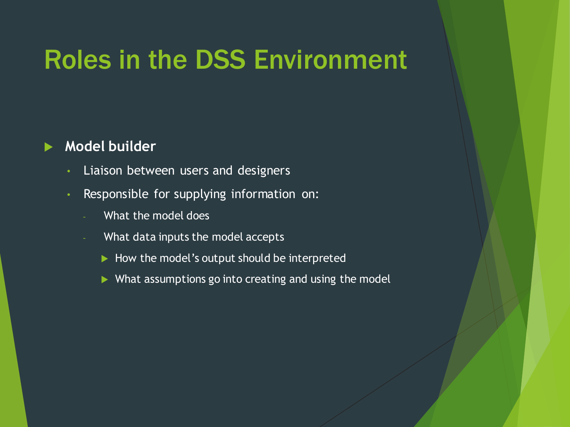### Roles in the DSS Environment

#### **Model builder**

- Liaison between users and designers
- Responsible for supplying information on:
	- What the model does
	- What data inputs the model accepts
		- $\blacktriangleright$  How the model's output should be interpreted
		- ▶ What assumptions go into creating and using the model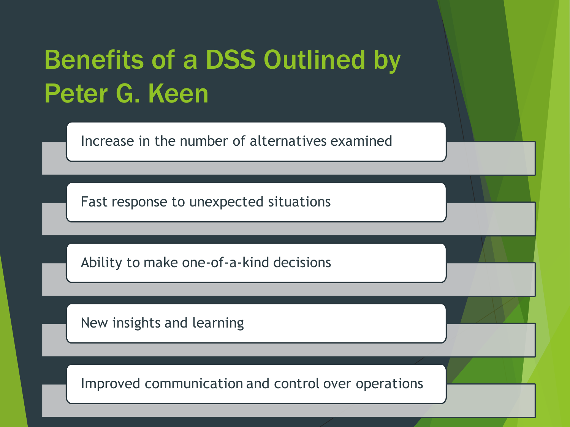# Benefits of a DSS Outlined by Peter G. Keen

Increase in the number of alternatives examined

Fast response to unexpected situations

Ability to make one-of-a-kind decisions

New insights and learning

Improved communication and control over operations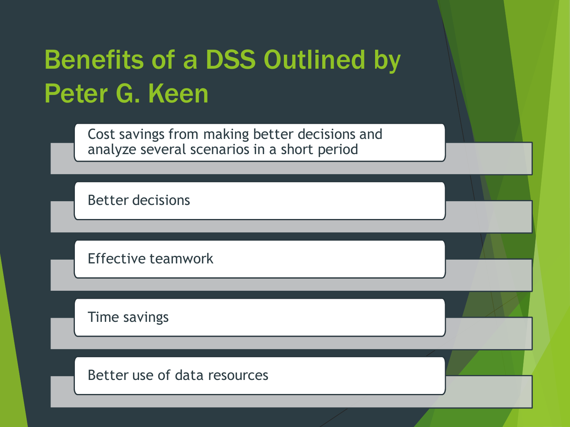# Benefits of a DSS Outlined by Peter G. Keen

Cost savings from making better decisions and analyze several scenarios in a short period

Better decisions

Effective teamwork

Time savings

Better use of data resources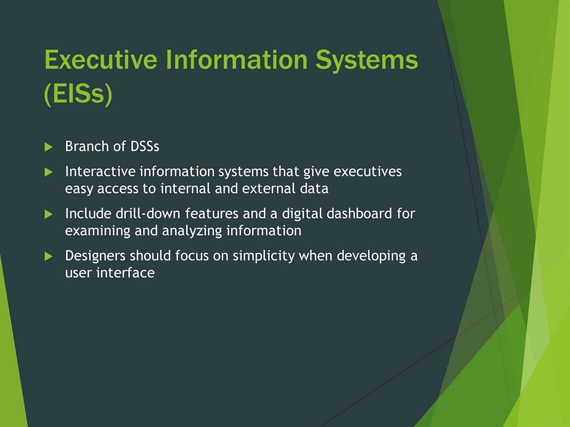# Executive Information Systems (EISs)

#### Branch of DSSs

- Interactive information systems that give executives easy access to internal and external data
- ▶ Include drill-down features and a digital dashboard for examining and analyzing information
- Designers should focus on simplicity when developing a user interface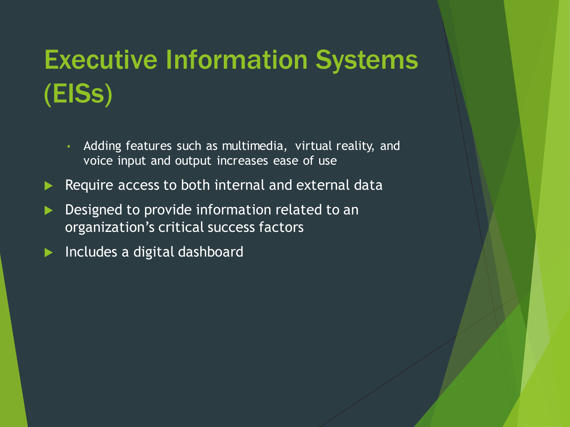# Executive Information Systems (EISs)

- Adding features such as multimedia, virtual reality, and voice input and output increases ease of use
- Require access to both internal and external data
- Designed to provide information related to an organization's critical success factors
- Includes a digital dashboard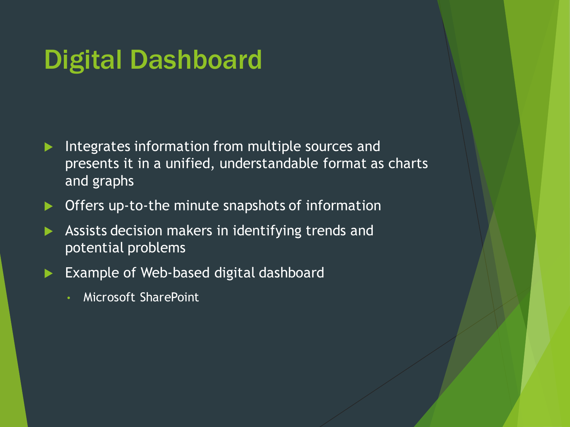### Digital Dashboard

- Integrates information from multiple sources and presents it in a unified, understandable format as charts and graphs
- ▶ Offers up-to-the minute snapshots of information
- Assists decision makers in identifying trends and potential problems
- Example of Web-based digital dashboard
	- Microsoft SharePoint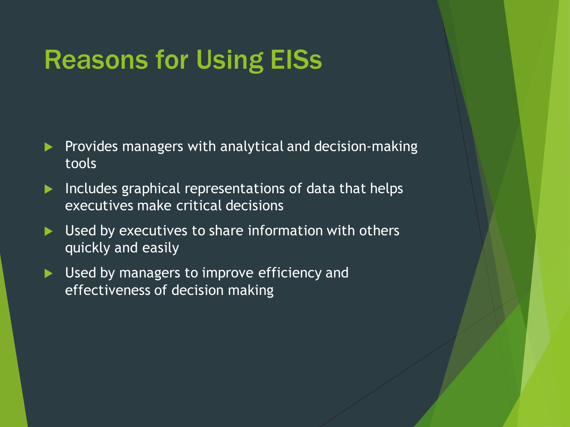# Reasons for Using EISs

- Provides managers with analytical and decision-making tools
- $\blacktriangleright$  Includes graphical representations of data that helps executives make critical decisions
- Used by executives to share information with others quickly and easily
- ▶ Used by managers to improve efficiency and effectiveness of decision making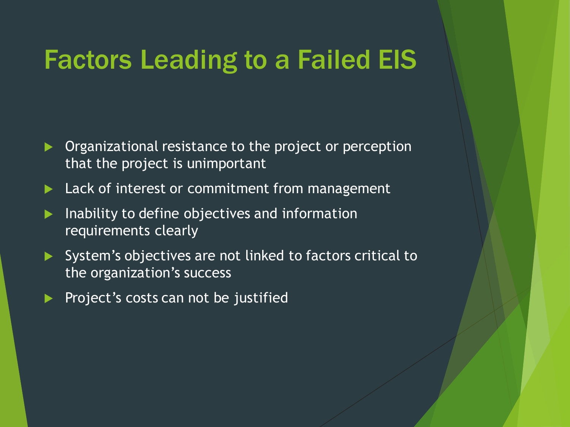### Factors Leading to a Failed EIS

- Organizational resistance to the project or perception that the project is unimportant
- Lack of interest or commitment from management
- $\blacktriangleright$  Inability to define objectives and information requirements clearly
- System's objectives are not linked to factors critical to the organization's success
- Project's costs can not be justified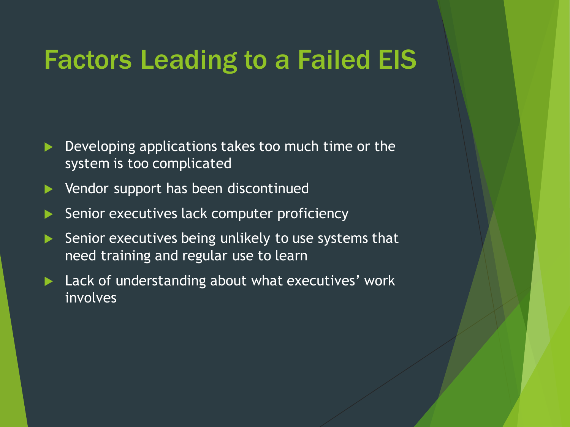### Factors Leading to a Failed EIS

- Developing applications takes too much time or the system is too complicated
- Vendor support has been discontinued
- Senior executives lack computer proficiency
- Senior executives being unlikely to use systems that need training and regular use to learn
- Lack of understanding about what executives' work involves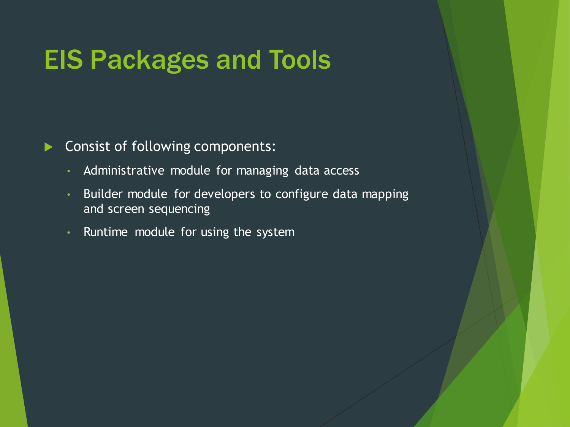### EIS Packages and Tools

#### Consist of following components:

- Administrative module for managing data access
- Builder module for developers to configure data mapping and screen sequencing
- Runtime module for using the system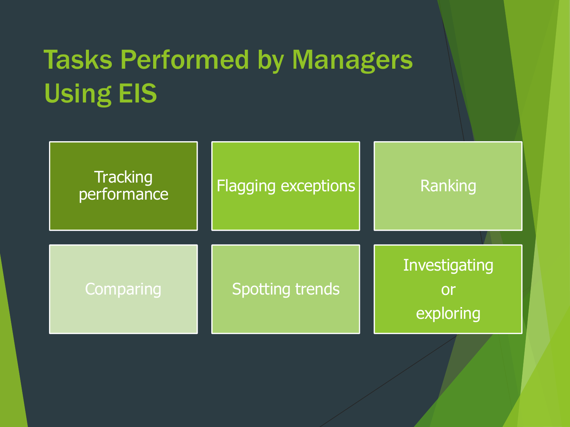# Tasks Performed by Managers Using EIS

| Tracking<br>performance | <b>Flagging exceptions</b> | Ranking                                 |
|-------------------------|----------------------------|-----------------------------------------|
| Comparing               | <b>Spotting trends</b>     | Investigating<br><b>Or</b><br>exploring |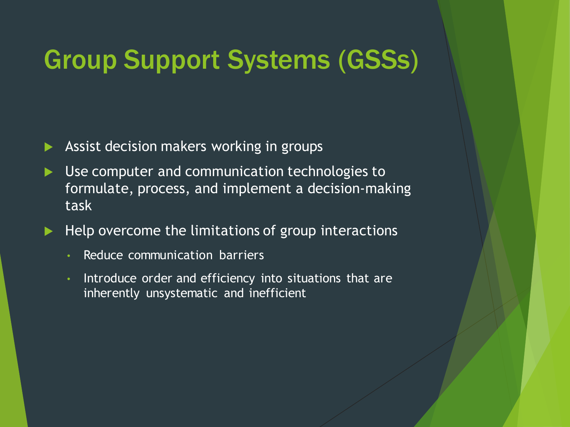### Group Support Systems (GSSs)

- Assist decision makers working in groups
- Use computer and communication technologies to formulate, process, and implement a decision-making task
- $\blacktriangleright$  Help overcome the limitations of group interactions
	- Reduce communication barriers
	- Introduce order and efficiency into situations that are inherently unsystematic and inefficient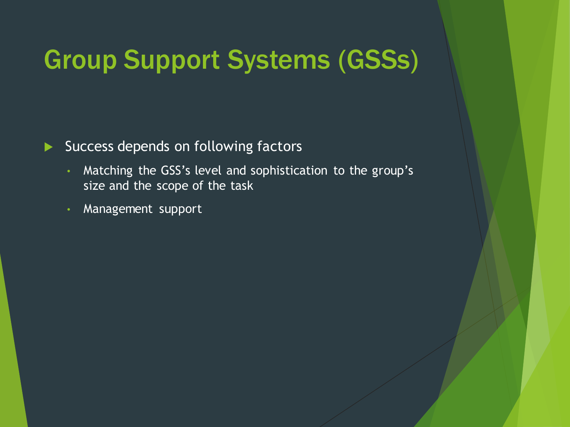# Group Support Systems (GSSs)

Success depends on following factors

- Matching the GSS's level and sophistication to the group's size and the scope of the task
- Management support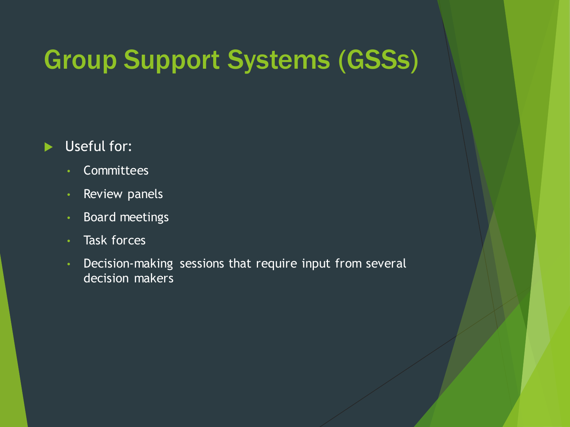# Group Support Systems (GSSs)

#### Useful for:

- Committees
- Review panels
- Board meetings
- Task forces
- Decision-making sessions that require input from several decision makers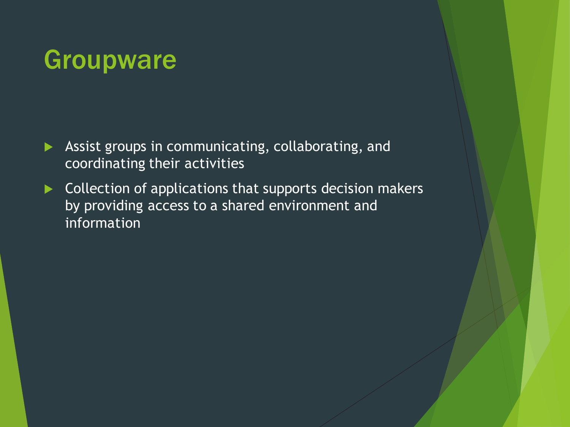# Groupware

- Assist groups in communicating, collaborating, and coordinating their activities
- Collection of applications that supports decision makers by providing access to a shared environment and information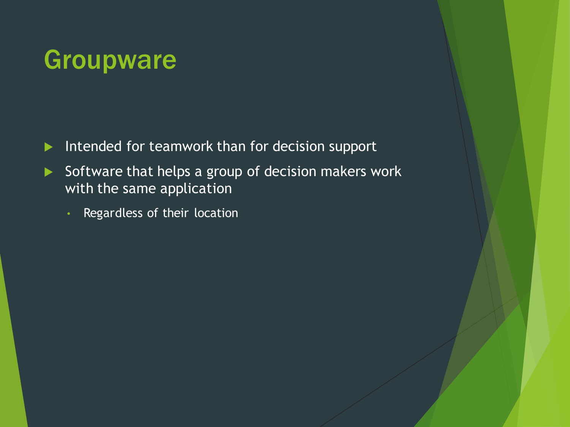## Groupware

- Intended for teamwork than for decision support
- $\triangleright$  Software that helps a group of decision makers work with the same application
	- Regardless of their location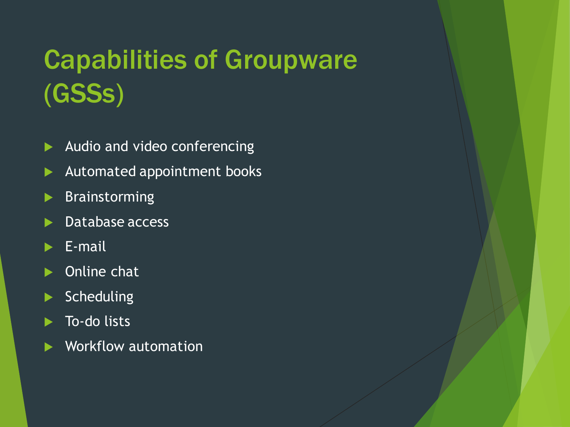# Capabilities of Groupware (GSSs)

- Audio and video conferencing
- Automated appointment books
- **Brainstorming**
- Database access
- E-mail
- ▶ Online chat
- $\blacktriangleright$  Scheduling
- To-do lists
- Workflow automation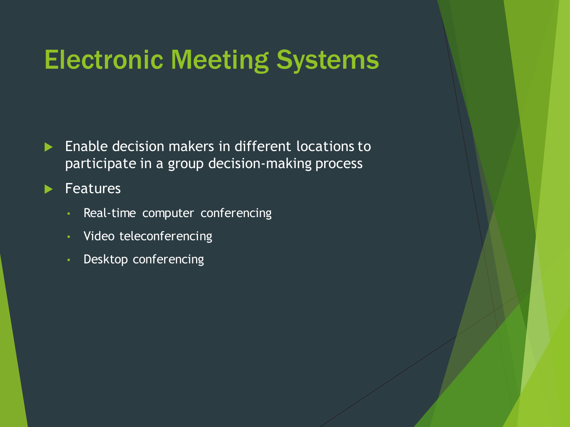# Electronic Meeting Systems

**Enable decision makers in different locations to** participate in a group decision-making process

Features

- Real-time computer conferencing
- Video teleconferencing
- Desktop conferencing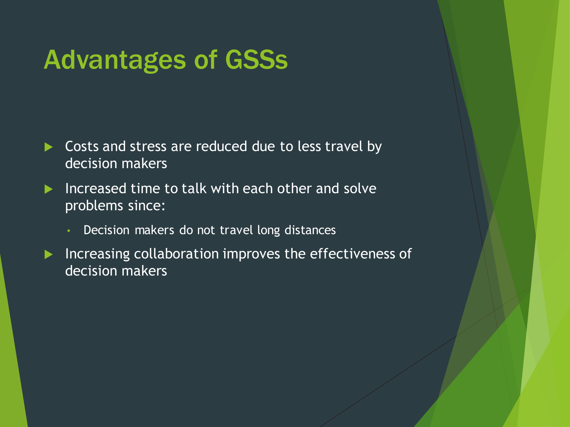### Advantages of GSSs

- Costs and stress are reduced due to less travel by decision makers
- Increased time to talk with each other and solve problems since:
	- Decision makers do not travel long distances
- Increasing collaboration improves the effectiveness of decision makers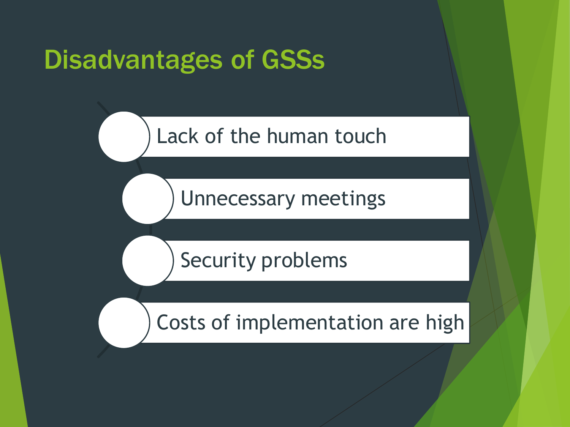### Disadvantages of GSSs

Lack of the human touch

Unnecessary meetings

Security problems

Costs of implementation are high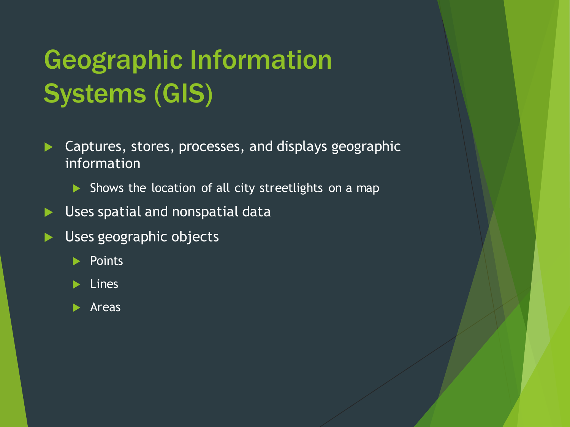# Geographic Information Systems (GIS)

- Captures, stores, processes, and displays geographic information
	- Shows the location of all city streetlights on a map
- Uses spatial and nonspatial data
- Uses geographic objects
	- $\blacktriangleright$  Points
	- $\blacktriangleright$  Lines
	- $\blacktriangleright$  Areas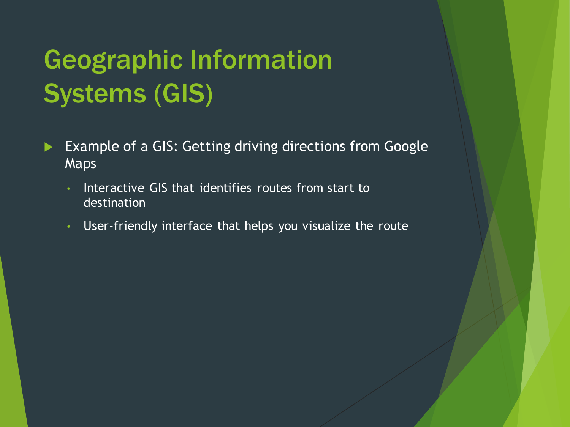# Geographic Information Systems (GIS)

- Example of a GIS: Getting driving directions from Google Maps
	- Interactive GIS that identifies routes from start to destination
	- User-friendly interface that helps you visualize the route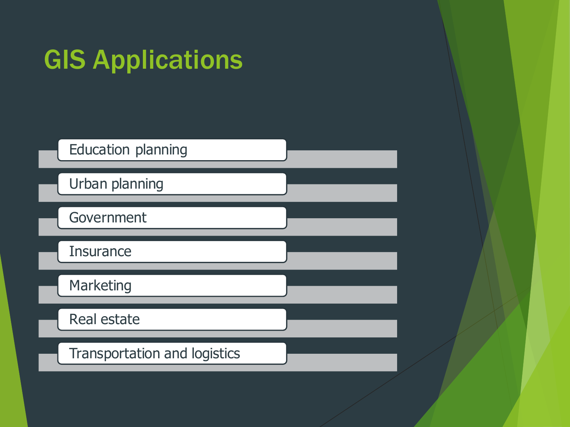# GIS Applications